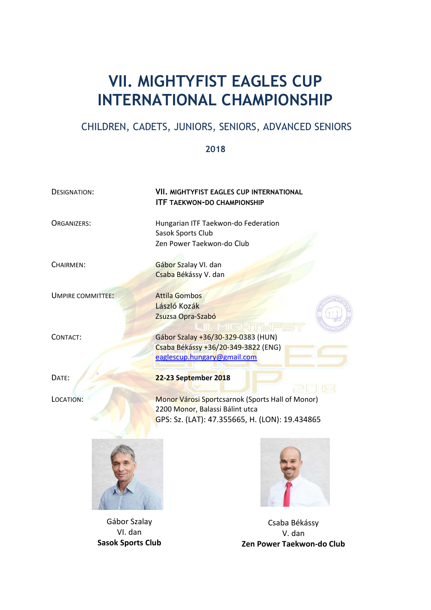# **VII. MIGHTYFIST EAGLES CUP INTERNATIONAL CHAMPIONSHIP**

# CHILDREN, CADETS, JUNIORS, SENIORS, ADVANCED SENIORS

#### **2018**

**ITF TAEKWON-DO CHAMPIONSHIP**

Zen Power Taekwon-do Club

Sasok Sports Club

Csaba Békássy V. dan

László Kozák Zsuzsa Opra-Szabó

DESIGNATION: **VII. MIGHTYFIST EAGLES CUP INTERNATIONAL**

ORGANIZERS: Hungarian ITF Taekwon-do Federation

CHAIRMEN: Gábor Szalay VI. dan

UMPIRE COMMITTEE: Attila Gombos

CONTACT: Gábor Szalay +36/30-329-0383 (HUN) Csaba Békássy +36/20-349-3822 (ENG) [eaglescup.hungary@gmail.com](mailto:eaglescup.hungary@gmail.com)

DATE: **22-23 September 2018**

LOCATION: Monor Városi Sportcsarnok (Sports Hall of Monor) 2200 Monor, Balassi Bálint utca GPS: Sz. (LAT): 47.355665, H. (LON): 19.434865



Gábor Szalay VI. dan **Sasok Sports Club**



Csaba Békássy V. dan **Zen Power Taekwon-do Club**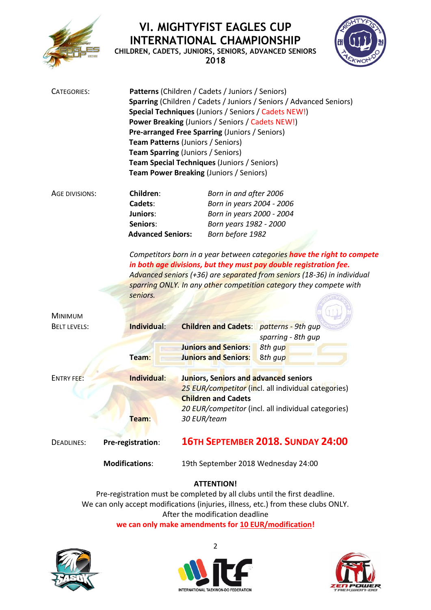

# **VI. MIGHTYFIST EAGLES CUP INTERNATIONAL CHAMPIONSHIP**

**CHILDREN, CADETS, JUNIORS, SENIORS, ADVANCED SENIORS 2018**



| CATEGORIES:                           |                                  | Patterns (Children / Cadets / Juniors / Seniors)<br>Sparring (Children / Cadets / Juniors / Seniors / Advanced Seniors)<br>Special Techniques (Juniors / Seniors / Cadets NEW!)<br><b>Power Breaking (Juniors / Seniors / Cadets NEW!)</b><br>Pre-arranged Free Sparring (Juniors / Seniors)<br><b>Team Patterns (Juniors / Seniors)</b><br><b>Team Sparring (Juniors / Seniors)</b><br>Team Special Techniques (Juniors / Seniors)<br>Team Power Breaking (Juniors / Seniors) |                                                                                                                                                                                                                                                                                                                                           |  |
|---------------------------------------|----------------------------------|--------------------------------------------------------------------------------------------------------------------------------------------------------------------------------------------------------------------------------------------------------------------------------------------------------------------------------------------------------------------------------------------------------------------------------------------------------------------------------|-------------------------------------------------------------------------------------------------------------------------------------------------------------------------------------------------------------------------------------------------------------------------------------------------------------------------------------------|--|
| AGE DIVISIONS:                        | Children:                        | Born in and after 2006                                                                                                                                                                                                                                                                                                                                                                                                                                                         |                                                                                                                                                                                                                                                                                                                                           |  |
|                                       | Cadets:                          | Born in years 2004 - 2006                                                                                                                                                                                                                                                                                                                                                                                                                                                      |                                                                                                                                                                                                                                                                                                                                           |  |
|                                       | <b>Juniors:</b>                  | Born in years 2000 - 2004                                                                                                                                                                                                                                                                                                                                                                                                                                                      |                                                                                                                                                                                                                                                                                                                                           |  |
|                                       | Seniors:                         | Born years 1982 - 2000                                                                                                                                                                                                                                                                                                                                                                                                                                                         |                                                                                                                                                                                                                                                                                                                                           |  |
|                                       | <b>Advanced Seniors:</b>         | Born before 1982                                                                                                                                                                                                                                                                                                                                                                                                                                                               |                                                                                                                                                                                                                                                                                                                                           |  |
| <b>MINIMUM</b><br><b>BELT LEVELS:</b> | seniors.<br>Individual:<br>Team: | <b>Children and Cadets:</b> patterns - 9th gup<br><b>Juniors and Seniors:</b><br><b>Juniors and Seniors:</b>                                                                                                                                                                                                                                                                                                                                                                   | Competitors born in a year between categories have the right to compete<br>in both age divisions, but they must pay double registration fee.<br>Advanced seniors (+36) are separated from seniors (18-36) in individual<br>sparring ONLY. In any other competition category they compete with<br>sparring - 8th gup<br>8th gup<br>8th gup |  |
| <b>ENTRY FEE:</b>                     | Individual:<br>Team:             | Juniors, Seniors and advanced seniors<br><b>Children and Cadets</b><br>30 EUR/team                                                                                                                                                                                                                                                                                                                                                                                             | 25 EUR/competitor (incl. all individual categories)<br>20 EUR/competitor (incl. all individual categories)                                                                                                                                                                                                                                |  |
| <b>DEADLINES:</b>                     | Pre-registration:                |                                                                                                                                                                                                                                                                                                                                                                                                                                                                                | <b>16TH SEPTEMBER 2018, SUNDAY 24:00</b>                                                                                                                                                                                                                                                                                                  |  |
|                                       | <b>Modifications:</b>            | 19th September 2018 Wednesday 24:00                                                                                                                                                                                                                                                                                                                                                                                                                                            |                                                                                                                                                                                                                                                                                                                                           |  |
|                                       |                                  |                                                                                                                                                                                                                                                                                                                                                                                                                                                                                |                                                                                                                                                                                                                                                                                                                                           |  |

### **ATTENTION!**

Pre-registration must be completed by all clubs until the first deadline. We can only accept modifications (injuries, illness, etc.) from these clubs ONLY. After the modification deadline **we can only make amendments for 10 EUR/modification!**





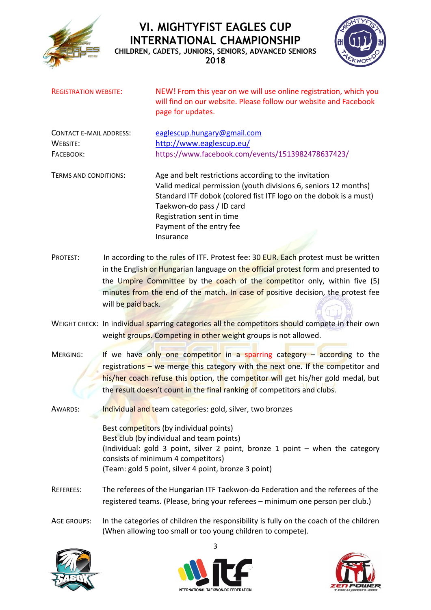

# **VI. MIGHTYFIST EAGLES CUP INTERNATIONAL CHAMPIONSHIP**



**CHILDREN, CADETS, JUNIORS, SENIORS, ADVANCED SENIORS 2018**

| <b>REGISTRATION WEBSITE:</b>   |                    | NEW! From this year on we will use online registration, which you<br>will find on our website. Please follow our website and Facebook<br>page for updates. |  |  |  |
|--------------------------------|--------------------|------------------------------------------------------------------------------------------------------------------------------------------------------------|--|--|--|
| <b>CONTACT E-MAIL ADDRESS:</b> |                    | eaglescup.hungary@gmail.com                                                                                                                                |  |  |  |
| WEBSITE:                       |                    | http://www.eaglescup.eu/                                                                                                                                   |  |  |  |
| FACEBOOK:                      |                    | https://www.facebook.com/events/1513982478637423/                                                                                                          |  |  |  |
| TERMS AND CONDITIONS:          |                    | Age and belt restrictions according to the invitation                                                                                                      |  |  |  |
|                                |                    | Valid medical permission (youth divisions 6, seniors 12 months)                                                                                            |  |  |  |
|                                |                    | Standard ITF dobok (colored fist ITF logo on the dobok is a must)                                                                                          |  |  |  |
|                                |                    | Taekwon-do pass / ID card                                                                                                                                  |  |  |  |
|                                |                    | Registration sent in time                                                                                                                                  |  |  |  |
|                                |                    | Payment of the entry fee                                                                                                                                   |  |  |  |
|                                |                    | Insurance                                                                                                                                                  |  |  |  |
| PROTEST:                       |                    | In according to the rules of ITF. Protest fee: 30 EUR. Each protest must be written                                                                        |  |  |  |
|                                |                    | in the English or Hungarian language on the official protest form and presented to                                                                         |  |  |  |
|                                |                    | the Umpire Committee by the coach of the competitor only, within five (5)                                                                                  |  |  |  |
|                                |                    | minutes from the end of the match. In case of positive decision, the protest fee                                                                           |  |  |  |
|                                | will be paid back. |                                                                                                                                                            |  |  |  |
|                                |                    |                                                                                                                                                            |  |  |  |
|                                |                    | WEIGHT CHECK: In individual sparring categories all the competitors should compete in their own                                                            |  |  |  |
|                                |                    | weight groups. Competing in other weight groups is not allowed.                                                                                            |  |  |  |
| MERGING:                       |                    | If we have only one competitor in a sparring category $-$ according to the                                                                                 |  |  |  |
|                                |                    | registrations - we merge this category with the next one. If the competitor and                                                                            |  |  |  |

his/her coach refuse this option, the competitor will get his/her gold medal, but the result doesn't count in the final ranking of competitors and clubs.

AWARDS: Individual and team categories: gold, silver, two bronzes Best competitors (by individual points) Best club (by individual and team points) (Individual: gold 3 point, silver 2 point, bronze 1 point – when the category consists of minimum 4 competitors)

(Team: gold 5 point, silver 4 point, bronze 3 point)

- REFEREES: The referees of the Hungarian ITF Taekwon-do Federation and the referees of the registered teams. (Please, bring your referees – minimum one person per club.)
- AGE GROUPS: In the categories of children the responsibility is fully on the coach of the children (When allowing too small or too young children to compete).





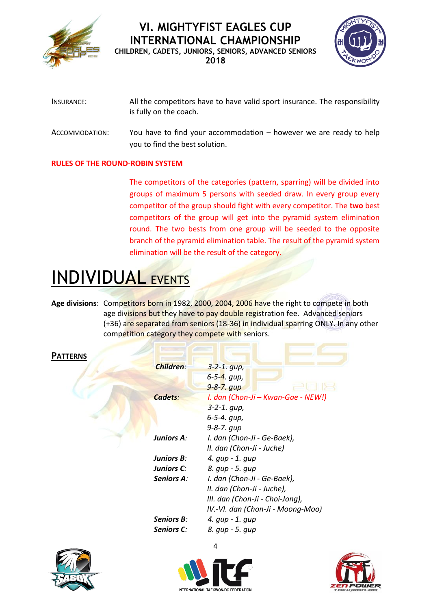



| INSURANCE:     | All the competitors have to have valid sport insurance. The responsibility<br>is fully on the coach.   |
|----------------|--------------------------------------------------------------------------------------------------------|
| ACCOMMODATION: | You have to find your accommodation $-$ however we are ready to help<br>you to find the best solution. |

#### **RULES OF THE ROUND-ROBIN SYSTEM**

The competitors of the categories (pattern, sparring) will be divided into groups of maximum 5 persons with seeded draw. In every group every competitor of the group should fight with every competitor. The **two** best competitors of the group will get into the pyramid system elimination round. The two bests from one group will be seeded to the opposite branch of the pyramid elimination table. The result of the pyramid system elimination will be the result of the category.

 $\sim$ 

# INDIVIDUAL EVENTS

**Age divisions**: Competitors born in 1982, 2000, 2004, 2006 have the right to compete in both age divisions but they have to pay double registration fee. Advanced seniors (+36) are separated from seniors (18-36) in individual sparring ONLY. In any other competition category they compete with seniors.

| <b>Children:</b>  | $3 - 2 - 1$ . gup,                 |
|-------------------|------------------------------------|
|                   | $6 - 5 - 4$ . qup,                 |
|                   | $9 - 8 - 7$ . qup                  |
| Cadets:           | I. dan (Chon-Ji – Kwan-Gae - NEW!) |
|                   | $3 - 2 - 1$ . gup,                 |
|                   | 6-5-4. gup,                        |
|                   | $9 - 8 - 7$ . $qup$                |
| <b>Juniors A:</b> | I. dan (Chon-Ji - Ge-Baek),        |
|                   | II. dan (Chon-Ji - Juche)          |
| <b>Juniors B:</b> | 4. gup - 1. gup                    |
| Juniors C:        | 8. qup - 5. qup                    |
| Seniors A:        | I. dan (Chon-Ji - Ge-Baek),        |
|                   | II. dan (Chon-Ji - Juche),         |
|                   | III. dan (Chon-Ji - Choi-Jong),    |
|                   | IV.-VI. dan (Chon-Ji - Moong-Moo)  |
| <b>Seniors B:</b> | 4. gup - 1. gup                    |
| <b>Seniors C:</b> | 8. qup - 5. qup                    |
|                   |                                    |





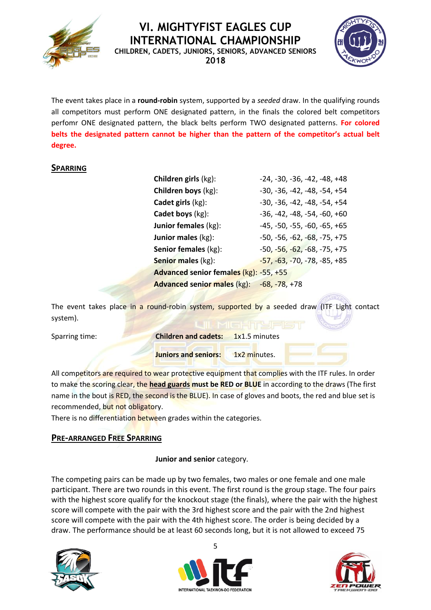**VI. MIGHTYFIST EAGLES CUP** 

**INTERNATIONAL CHAMPIONSHIP CHILDREN, CADETS, JUNIORS, SENIORS, ADVANCED SENIORS 2018**



The event takes place in a **round‐robin** system, supported by a *seeded* draw. In the qualifying rounds all competitors must perform ONE designated pattern, in the finals the colored belt competitors perfomr ONE designated pattern, the black belts perform TWO designated patterns. **For colored belts the designated pattern cannot be higher than the pattern of the competitor's actual belt degree.**

#### **SPARRING**

| Children girls (kg):                             | $-24, -30, -36, -42, -48, +48$ |
|--------------------------------------------------|--------------------------------|
| Children boys (kg):                              | $-30, -36, -42, -48, -54, +54$ |
| Cadet girls (kg):                                | $-30, -36, -42, -48, -54, +54$ |
| Cadet boys (kg):                                 | $-36, -42, -48, -54, -60, +60$ |
| <b>Junior females (kg):</b>                      | $-45, -50, -55, -60, -65, +65$ |
| Junior males (kg):                               | $-50, -56, -62, -68, -75, +75$ |
| Senior females (kg):                             | $-50, -56, -62, -68, -75, +75$ |
| <b>Senior males (kg):</b>                        | $-57, -63, -70, -78, -85, +85$ |
| Advanced senior females (kg): -55, +55           |                                |
| <b>Advanced senior males (kg): -68, -78, +78</b> |                                |

The event takes place in a round-robin system, supported by a seeded draw (ITF Light contact system).

| Sparring time: | <b>Children and cadets:</b> 1x1.5 minutes |              |  |
|----------------|-------------------------------------------|--------------|--|
|                | <b>Juniors and seniors:</b>               | 1x2 minutes. |  |

All competitors are required to wear protective equipment that complies with the ITF rules. In order to make the scoring clear, the **head guards must be RED or BLUE** in according to the draws (The first name in the bout is RED, the second is the BLUE). In case of gloves and boots, the red and blue set is recommended, but not obligatory.

There is no differentiation between grades within the categories.

#### **PRE-ARRANGED FREE SPARRING**

#### **Junior and senior** category.

The competing pairs can be made up by two females, two males or one female and one male participant. There are two rounds in this event. The first round is the group stage. The four pairs with the highest score qualify for the knockout stage (the finals), where the pair with the highest score will compete with the pair with the 3rd highest score and the pair with the 2nd highest score will compete with the pair with the 4th highest score. The order is being decided by a draw. The performance should be at least 60 seconds long, but it is not allowed to exceed 75





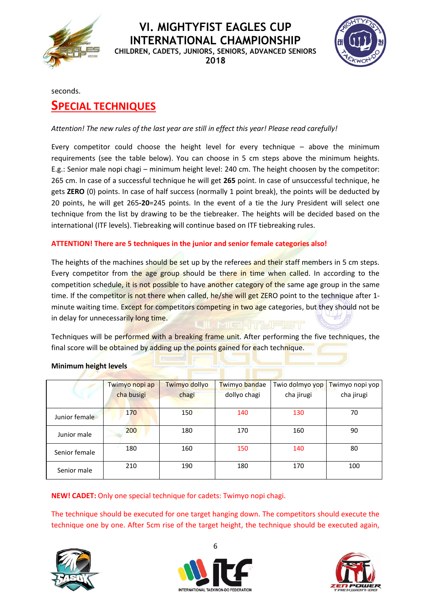

**2018**



seconds.

# **SPECIAL TECHNIQUES**

#### *Attention! The new rules of the last year are still in effect this year! Please read carefully!*

Every competitor could choose the height level for every technique – above the minimum requirements (see the table below). You can choose in 5 cm steps above the minimum heights. E.g.: Senior male nopi chagi – minimum height level: 240 cm. The height choosen by the competitor: 265 cm. In case of a successful technique he will get **265** point. In case of unsuccessful technique, he gets **ZERO** (0) points. In case of half success (normally 1 point break), the points will be deducted by 20 points, he will get 265**-20**=245 points. In the event of a tie the Jury President will select one technique from the list by drawing to be the tiebreaker. The heights will be decided based on the international (ITF levels). Tiebreaking will continue based on ITF tiebreaking rules.

#### **ATTENTION! There are 5 techniques in the junior and senior female categories also!**

The heights of the machines should be set up by the referees and their staff members in 5 cm steps. Every competitor from the age group should be there in time when called. In according to the competition schedule, it is not possible to have another category of the same age group in the same time. If the competitor is not there when called, he/she will get ZERO point to the technique after 1minute waiting time. Except for competitors competing in two age categories, but they should not be in delay for unnecessarily long time.

Techniques will be performed with a breaking frame unit. After performing the five techniques, the final score will be obtained by adding up the points gained for each technique.

#### **Minimum height levels**

|               | Twimyo nopi ap | Twimyo dollyo | Twimyo bandae | Twio dolmyo yop | Twimyo nopi yop |
|---------------|----------------|---------------|---------------|-----------------|-----------------|
|               | cha busigi     | chagi         | dollyo chagi  | cha jirugi      | cha jirugi      |
| Junior female | 170            | 150           | 140           | 130             | 70              |
| Junior male   | 200            | 180           | 170           | 160             | 90              |
| Senior female | 180            | 160           | 150           | 140             | 80              |
| Senior male   | 210            | 190           | 180           | 170             | 100             |

**NEW! CADET:** Only one special technique for cadets: Twimyo nopi chagi.

The technique should be executed for one target hanging down. The competitors should execute the technique one by one. After 5cm rise of the target height, the technique should be executed again,





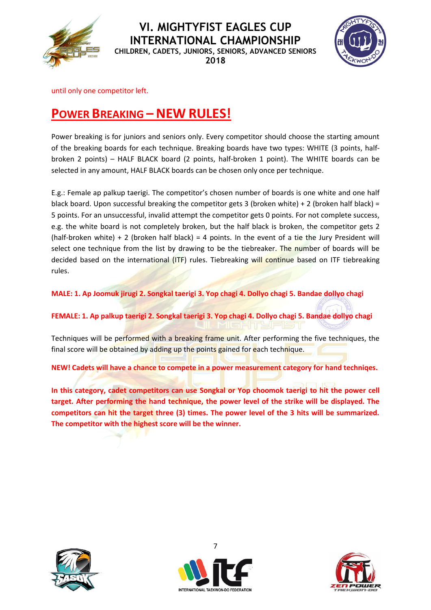

**2018**



until only one competitor left.

# **POWER BREAKING – NEW RULES!**

Power breaking is for juniors and seniors only. Every competitor should choose the starting amount of the breaking boards for each technique. Breaking boards have two types: WHITE (3 points, halfbroken 2 points) – HALF BLACK board (2 points, half-broken 1 point). The WHITE boards can be selected in any amount, HALF BLACK boards can be chosen only once per technique.

E.g.: Female ap palkup taerigi. The competitor's chosen number of boards is one white and one half black board. Upon successful breaking the competitor gets 3 (broken white) + 2 (broken half black) = 5 points. For an unsuccessful, invalid attempt the competitor gets 0 points. For not complete success, e.g. the white board is not completely broken, but the half black is broken, the competitor gets 2 (half-broken white)  $+ 2$  (broken half black) = 4 points. In the event of a tie the Jury President will select one technique from the list by drawing to be the tiebreaker. The number of boards will be decided based on the international (ITF) rules. Tiebreaking will continue based on ITF tiebreaking rules.

**MALE: 1. Ap Joomuk jirugi 2. Songkal taerigi 3. Yop chagi 4. Dollyo chagi 5. Bandae dollyo chagi**

**FEMALE: 1. Ap palkup taerigi 2. Songkal taerigi 3. Yop chagi 4. Dollyo chagi 5. Bandae dollyo chagi**

Techniques will be performed with a breaking frame unit. After performing the five techniques, the final score will be obtained by adding up the points gained for each technique.

**NEW! Cadets will have a chance to compete in a power measurement category for hand techniqes.**

**In this category, cadet competitors can use Songkal or Yop choomok taerigi to hit the power cell target. After performing the hand technique, the power level of the strike will be displayed. The competitors can hit the target three (3) times. The power level of the 3 hits will be summarized. The competitor with the highest score will be the winner.** 





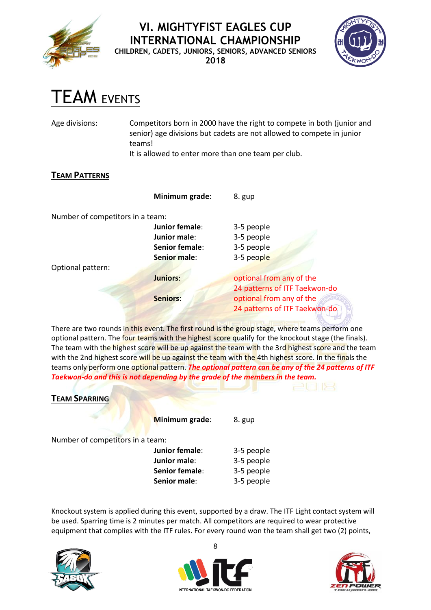

**2018**



# TEAM EVENTS

Age divisions: Competitors born in 2000 have the right to compete in both (junior and senior) age divisions but cadets are not allowed to compete in junior teams!

It is allowed to enter more than one team per club.

### **TEAM PATTERNS**

|                                  | Minimum grade:  | 8. gup                        |
|----------------------------------|-----------------|-------------------------------|
| Number of competitors in a team: |                 |                               |
|                                  | Junior female:  | 3-5 people                    |
|                                  | Junior male:    | 3-5 people                    |
|                                  | Senior female:  | 3-5 people                    |
|                                  | Senior male:    | 3-5 people                    |
| Optional pattern:                |                 |                               |
|                                  | <b>Juniors:</b> | optional from any of the      |
|                                  |                 | 24 patterns of ITF Taekwon-do |
|                                  | <b>Seniors:</b> | optional from any of the      |
|                                  |                 | 24 patterns of ITF Taekwon-do |

There are two rounds in this event. The first round is the group stage, where teams perform one optional pattern. The four teams with the highest score qualify for the knockout stage (the finals). The team with the highest score will be up against the team with the 3rd highest score and the team with the 2nd highest score will be up against the team with the 4th highest score. In the finals the teams only perform one optional pattern. *The optional pattern can be any of the 24 patterns of ITF Taekwon-do and this is not depending by the grade of the members in the team.*

| <b>TEAM SPARRING</b>             |                |            |
|----------------------------------|----------------|------------|
|                                  | Minimum grade: | 8. gup     |
| Number of competitors in a team: |                |            |
|                                  | Junior female: | 3-5 people |
|                                  | Junior male:   | 3-5 people |
|                                  | Senior female: | 3-5 people |
|                                  | Senior male:   | 3-5 people |

Knockout system is applied during this event, supported by a draw. The ITF Light contact system will be used. Sparring time is 2 minutes per match. All competitors are required to wear protective equipment that complies with the ITF rules. For every round won the team shall get two (2) points,







Q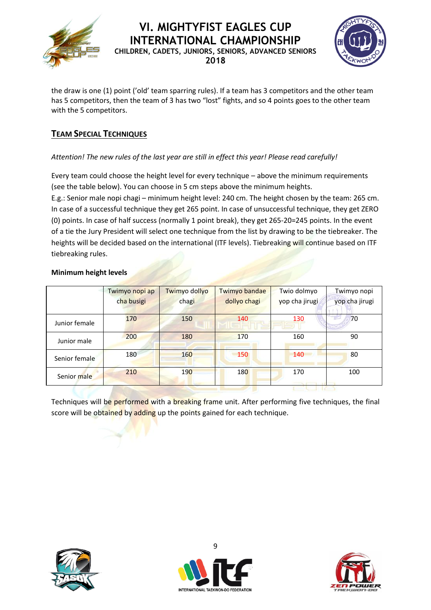



the draw is one (1) point ('old' team sparring rules). If a team has 3 competitors and the other team has 5 competitors, then the team of 3 has two "lost" fights, and so 4 points goes to the other team with the 5 competitors.

## **TEAM SPECIAL TECHNIQUES**

#### *Attention! The new rules of the last year are still in effect this year! Please read carefully!*

Every team could choose the height level for every technique – above the minimum requirements (see the table below). You can choose in 5 cm steps above the minimum heights.

E.g.: Senior male nopi chagi – minimum height level: 240 cm. The height chosen by the team: 265 cm. In case of a successful technique they get 265 point. In case of unsuccessful technique, they get ZERO (0) points. In case of half success (normally 1 point break), they get 265-20=245 points. In the event of a tie the Jury President will select one technique from the list by drawing to be the tiebreaker. The heights will be decided based on the international (ITF levels). Tiebreaking will continue based on ITF tiebreaking rules.

#### **Minimum height levels**

|               | Twimyo nopi ap | Twimyo dollyo | Twimyo bandae | Twio dolmyo    | Twimyo nopi    |
|---------------|----------------|---------------|---------------|----------------|----------------|
|               | cha busigi     | chagi         | dollyo chagi  | yop cha jirugi | yop cha jirugi |
| Junior female | 170            | 150           | 140           | 130            | 70             |
| Junior male   | 200            | 180           | 170           | 160            | 90             |
| Senior female | 180            | 160           | 150           | 140            | 80             |
| Senior male   | 210            | 190           | 180           | 170            | 100            |

Techniques will be performed with a breaking frame unit. After performing five techniques, the final score will be obtained by adding up the points gained for each technique.





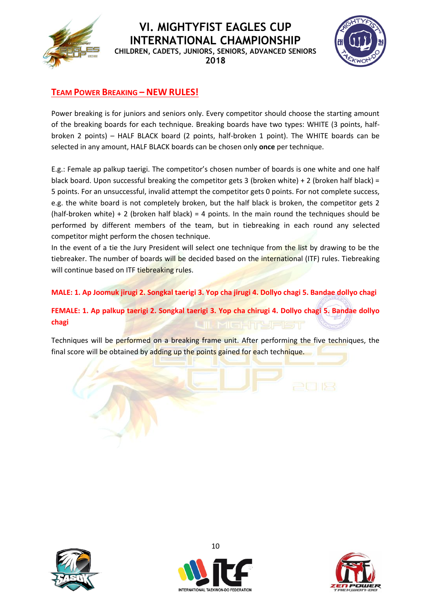

**2018**



## **TEAM POWER BREAKING – NEW RULES!**

Power breaking is for juniors and seniors only. Every competitor should choose the starting amount of the breaking boards for each technique. Breaking boards have two types: WHITE (3 points, halfbroken 2 points) – HALF BLACK board (2 points, half-broken 1 point). The WHITE boards can be selected in any amount, HALF BLACK boards can be chosen only **once** per technique.

E.g.: Female ap palkup taerigi. The competitor's chosen number of boards is one white and one half black board. Upon successful breaking the competitor gets 3 (broken white) + 2 (broken half black) = 5 points. For an unsuccessful, invalid attempt the competitor gets 0 points. For not complete success, e.g. the white board is not completely broken, but the half black is broken, the competitor gets 2 (half-broken white)  $+ 2$  (broken half black) = 4 points. In the main round the techniques should be performed by different members of the team, but in tiebreaking in each round any selected competitor might perform the chosen technique.

In the event of a tie the Jury President will select one technique from the list by drawing to be the tiebreaker. The number of boards will be decided based on the international (ITF) rules. Tiebreaking will continue based on ITF tiebreaking rules.

**MALE: 1. Ap Joomuk jirugi 2. Songkal taerigi 3. Yop cha jirugi 4. Dollyo chagi 5. Bandae dollyo chagi**

**FEMALE: 1. Ap palkup taerigi 2. Songkal taerigi 3. Yop cha chirugi 4. Dollyo chagi 5. Bandae dollyo chagi**

Techniques will be performed on a breaking frame unit. After performing the five techniques, the final score will be obtained by adding up the points gained for each technique.